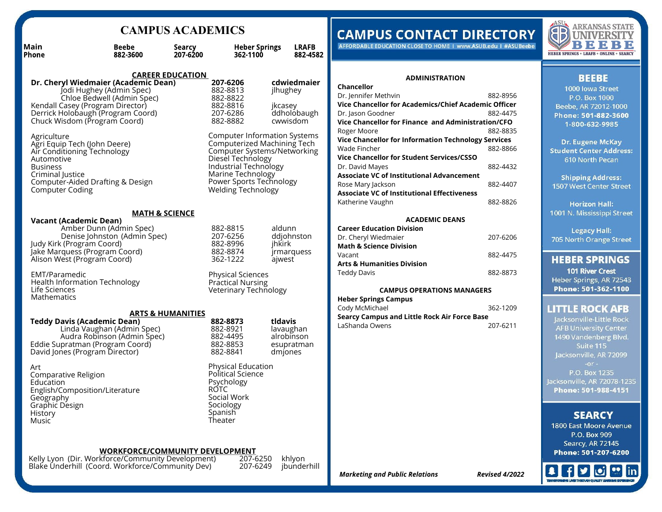## **CAMPUS ACADEMICS**

| <b>Main</b><br>Phone                                                                                                                                                                   | <b>Beebe</b><br>882-3600                                                                                                            | Searcy<br>207-6200 | <b>Heber Springs</b><br>362-1100                                                                                                                                                                               |                            | <b>LRAFB</b><br>882-4582              |  |
|----------------------------------------------------------------------------------------------------------------------------------------------------------------------------------------|-------------------------------------------------------------------------------------------------------------------------------------|--------------------|----------------------------------------------------------------------------------------------------------------------------------------------------------------------------------------------------------------|----------------------------|---------------------------------------|--|
| <u>CAREER EDUCATION</u><br>Dr. Cheryl Wiedmaier (Academic Dean)                                                                                                                        |                                                                                                                                     |                    |                                                                                                                                                                                                                |                            |                                       |  |
| Jodi Hughey (Admin Spec)                                                                                                                                                               |                                                                                                                                     |                    | 207-6206<br>882-8813<br>882-8822                                                                                                                                                                               |                            | cdwiedmaier<br>jlhughey               |  |
|                                                                                                                                                                                        | Chloe Bedwell (Admin Spec)<br>Kendall Casey (Program Director)<br>Derrick Holobaugh (Program Coord)<br>Chuck Wisdom (Program Coord) |                    | 882-8816<br>207-6286<br>882-8882                                                                                                                                                                               |                            | jkcasey<br>ddholobaugh<br>cwwisdom    |  |
| Agriculture<br>Agri Equip Tech (John Deere)<br>Air Conditioning Technology<br>Automotive<br><b>Business</b><br>Criminal Justice<br>Computer-Aided Drafting & Design<br>Computer Coding |                                                                                                                                     |                    | Computer Information Systems<br>Computerized Machining Tech<br>Computer Systems/Networking<br>Diesel Technology<br>Industrial Technology<br>Marine Technology<br>Power Sports Technology<br>Welding Technology |                            |                                       |  |
| Vacant (Academic Dean)                                                                                                                                                                 | <b>MATH &amp; SCIENCE</b>                                                                                                           |                    |                                                                                                                                                                                                                |                            |                                       |  |
| Amber Dunn (Admin Spec)<br>Judy Kirk (Program Coord)<br>Jake Marquess (Program Coord)<br>Alison West (Program Coord)                                                                   | Denise Johnston (Admin Spec)                                                                                                        |                    | 882-8815<br>207-6256<br>882-8996<br>882-8874<br>362-1222                                                                                                                                                       | aldunn<br>jhkirk<br>ajwest | ddjohnston<br><i>irmarquess</i>       |  |
| EMT/Paramedic<br>Health Information Technology<br>Life Sciences<br>Mathematics                                                                                                         |                                                                                                                                     |                    | <b>Physical Sciences</b><br><b>Practical Nursing</b><br>Veterinary Technology                                                                                                                                  |                            |                                       |  |
| Teddy Davis (Academic Dean)                                                                                                                                                            | <b>ARTS &amp; HUMANITIES</b>                                                                                                        |                    | 882-8873                                                                                                                                                                                                       | tidavis                    |                                       |  |
| Eddie Supratman (Program Coord)<br>David Jones (Program Director)                                                                                                                      | Linda Vaughan (Admin Spec)<br>Audra Robinson (Admin Spec)                                                                           |                    | 882-8921<br>882-4495<br>882-8853<br>882-8841                                                                                                                                                                   | dmjones                    | lavaughan<br>alrobinson<br>esupratman |  |
| Art<br>Comparative Religion<br>Education<br>English/Composition/Literature<br>Geography<br>Graphic Design<br>History<br>Music                                                          |                                                                                                                                     |                    | Physical Education<br>Political Science<br>Psychology<br>ROTC<br>Social Work<br>Sociology<br>Spanish<br>Theater                                                                                                |                            |                                       |  |
| <b>WORKFORCE/COMMUNITY DEVELOPMENT</b><br>207-6250<br>Kelly Lyon (Dir. Workforce/Community Development)<br>khiyon                                                                      |                                                                                                                                     |                    |                                                                                                                                                                                                                |                            |                                       |  |
| Blake Underhill (Coord. Workforce/Community Dev)                                                                                                                                       |                                                                                                                                     |                    | 207-6249                                                                                                                                                                                                       |                            | jbunderhill                           |  |

# **CAMPUS CONTACT DIRECTORY**

AFFORDABLE EDUCATION CLOSE TO HOME | WWW.ASUB.edu | #ASUBeebe

#### **ADMINISTRATION**

- 0

| Dr. Jennifer Methvin                                       | 882-8956 |  |  |
|------------------------------------------------------------|----------|--|--|
| Vice Chancellor for Academics/Chief Academic Officer       |          |  |  |
| Dr. Jason Goodner                                          | 882-4475 |  |  |
| Vice Chancellor for Finance and Administration/CFO         |          |  |  |
| Roger Moore                                                | 882-8835 |  |  |
| <b>Vice Chancellor for Information Technology Services</b> |          |  |  |
| Wade Fincher                                               | 882-8866 |  |  |
| Vice Chancellor for Student Services/CSSO                  |          |  |  |
| Dr. David Mayes                                            | 882-4432 |  |  |
| <b>Associate VC of Institutional Advancement</b>           |          |  |  |
| Rose Mary Jackson                                          | 882-4407 |  |  |
| <b>Associate VC of Institutional Effectiveness</b>         |          |  |  |
| Katherine Vaughn                                           | 882-8826 |  |  |

#### **ACADEMIC DEANS**

| Career Education Division  |          |
|----------------------------|----------|
| Dr. Cheryl Wiedmaier       | 207-6206 |
| Math & Science Division    |          |
| /acant                     | 882-4475 |
| Arts & Humanities Division |          |
| Teddy Davis                | 882-8873 |
|                            |          |

#### **CAMPUS OPERATIONS MANAGERS**

| <b>Heber Springs Campus</b>                  |          |  |  |
|----------------------------------------------|----------|--|--|
| Cody McMichael                               | 362-1209 |  |  |
| Searcy Campus and Little Rock Air Force Base |          |  |  |
| LaShanda Owens                               | 207-6211 |  |  |



### **BEEBE**

1000 lowa Street P.O. Box 1000 Beebe, AR 72012-1000 Phone: 501-882-3600 1-800-632-9985

Dr. Eugene McKay **Student Center Address:** 610 North Pecan

**Shipping Address:** 1507 West Center Street

**Horizon Hall:** 1001 N. Mississippi Street

**Legacy Hall:** 705 North Orange Street

#### **HEBER SPRINGS**

**101 River Crest** Heber Springs, AR 72543 Phone: 501-362-1100

### **LITTLE ROCK AFB**

Jacksonville-Little Rock **AFB University Center** 1490 Vandenberg Blvd. Suite 115 Jacksonville, AR 72099 P.O. Box 1235 Jacksonville, AR 72078-1235 Phone: 501-988-4151

### **SEARCY**

1800 East Moore Avenue P.O. Box 909 Searcy, AR 72145 Phone: 501-207-6200

| <b>Revised 4/2022</b> |
|-----------------------|
|                       |

 $\left| \bullet \right|$  in  $|Q|$